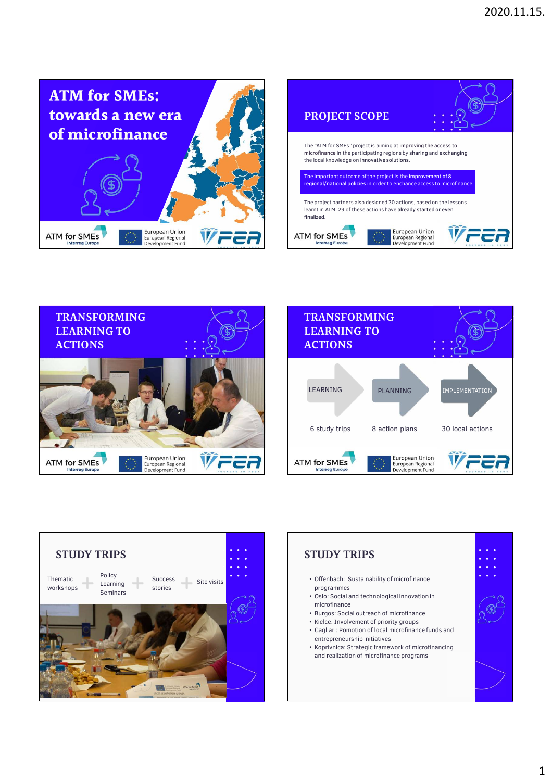









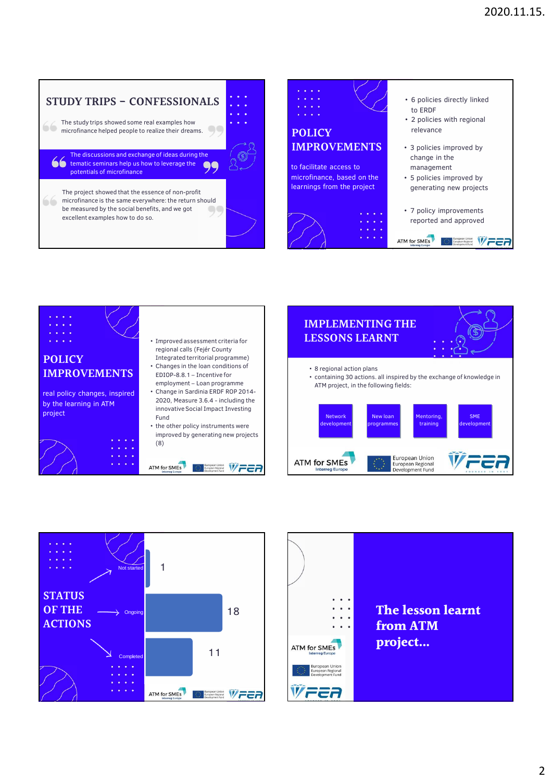## **STUDY TRIPS - CONFESSIONALS**  • 6 policies directly linked to ERDF • 2 policies with regional The study trips showed some real examples how **CO** microfinance helped people to realize their dreams. relevance **POLICY IMPROVEMENTS** • 3 policies improved by The discussions and exchange of ideas during the change in the tematic seminars help us how to leverage the 99 to facilitate access to management potentials of microfinance microfinance, based on the • 5 policies improved by learnings from the project generating new projects The project showed that the essence of non-profit microfinance is the same everywhere: the return should be measured by the social benefits, and we got OG • 7 policy improvements excellent examples how to do so. reported and approved ATM for SMEs **Exercise And Average and Average and Average Average Average Average Average Average Average Average Average Average Average Average Average Average Average Average Average Average Average Average Average Average Average**